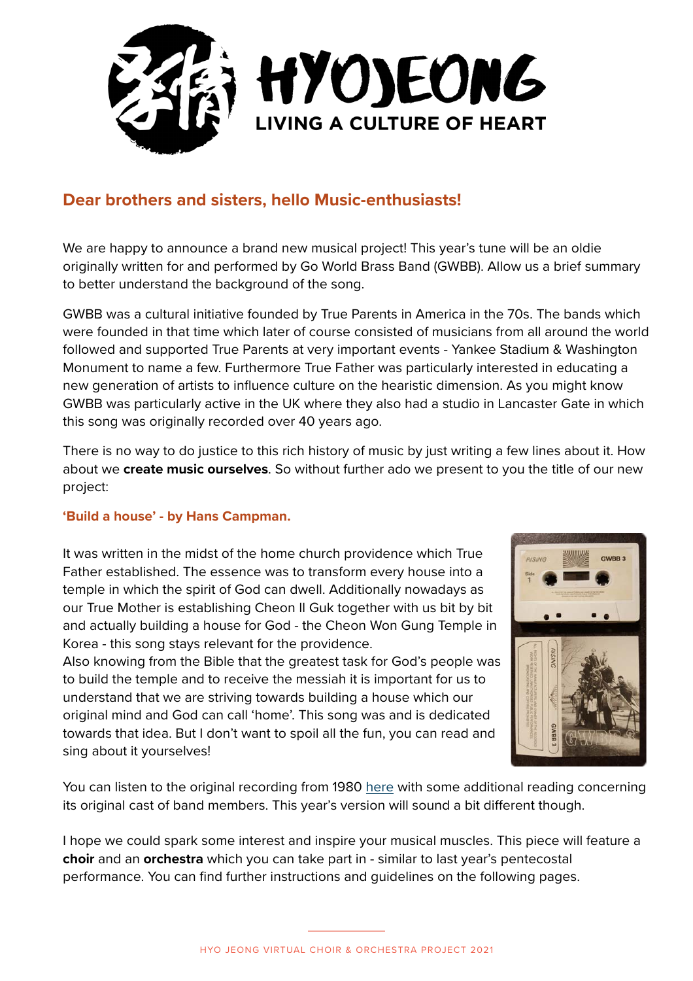

#### **Dear brothers and sisters, hello Music-enthusiasts!**

We are happy to announce a brand new musical project! This year's tune will be an oldie originally written for and performed by Go World Brass Band (GWBB). Allow us a brief summary to better understand the background of the song.

GWBB was a cultural initiative founded by True Parents in America in the 70s. The bands which were founded in that time which later of course consisted of musicians from all around the world followed and supported True Parents at very important events - Yankee Stadium & Washington Monument to name a few. Furthermore True Father was particularly interested in educating a new generation of artists to influence culture on the hearistic dimension. As you might know GWBB was particularly active in the UK where they also had a studio in Lancaster Gate in which this song was originally recorded over 40 years ago.

There is no way to do justice to this rich history of music by just writing a few lines about it. How about we **create music ourselves**. So without further ado we present to you the title of our new project:

#### **'Build a house' - by Hans Campman.**

It was written in the midst of the home church providence which True Father established. The essence was to transform every house into a temple in which the spirit of God can dwell. Additionally nowadays as our True Mother is establishing Cheon Il Guk together with us bit by bit and actually building a house for God - the Cheon Won Gung Temple in Korea - this song stays relevant for the providence.

Also knowing from the Bible that the greatest task for God's people was to build the temple and to receive the messiah it is important for us to understand that we are striving towards building a house which our original mind and God can call 'home'. This song was and is dedicated towards that idea. But I don't want to spoil all the fun, you can read and sing about it yourselves!



You can listen to the original recording from 1980 here with some additional reading concerning its original cast of band members. This year's version will sound a bit different though.

I hope we could spark some interest and inspire your musical muscles. This piece will feature a **choir** and an **orchestra** which you can take part in - similar to last year's pentecostal performance. You can find further instructions and guidelines on the following pages.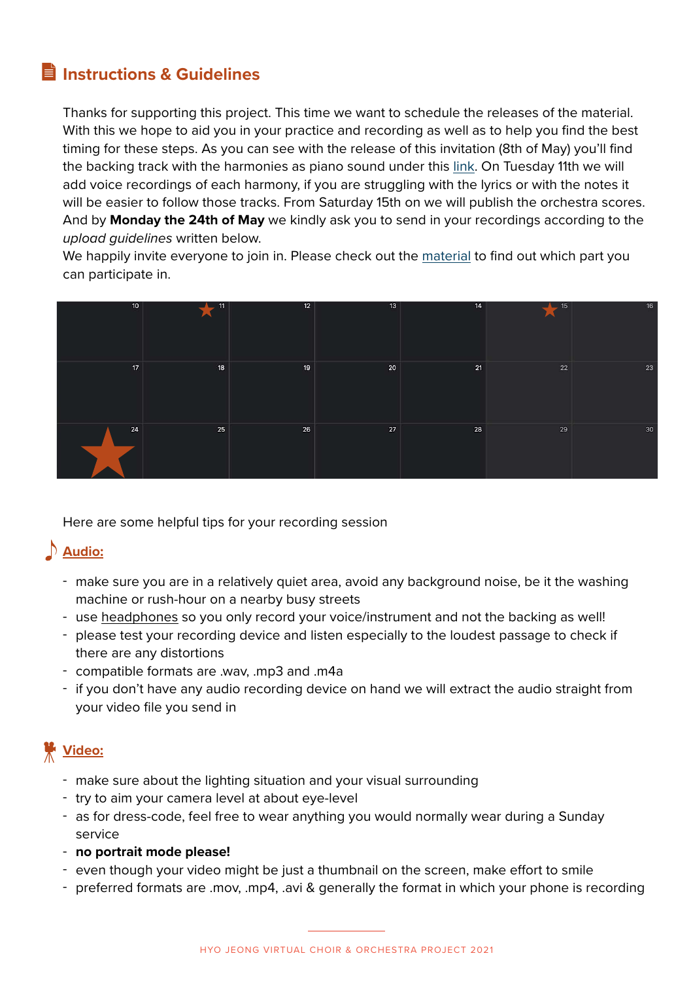### **Instructions & Guidelines**

Thanks for supporting this project. This time we want to schedule the releases of the material. With this we hope to aid you in your practice and recording as well as to help you find the best timing for these steps. As you can see with the release of this invitation (8th of May) you'll find the backing track with the harmonies as piano sound under this link. On Tuesday 11th we will add voice recordings of each harmony, if you are struggling with the lyrics or with the notes it will be easier to follow those tracks. From Saturday 15th on we will publish the orchestra scores. And by **Monday the 24th of May** we kindly ask you to send in your recordings according to the *upload guidelines* written below.

We happily invite everyone to join in. Please check out the material to find out which part you can participate in.

| 10 <sup>°</sup> | $-11$<br>$\blacktriangle$ | 12 | 13 | 14 | 15<br>ட<br>$\blacktriangle$ | 16 |
|-----------------|---------------------------|----|----|----|-----------------------------|----|
| 17 <sup>°</sup> | 18                        | 19 | 20 | 21 | 22                          | 23 |
| 24              | 25                        | 26 | 27 | 28 | 29                          | 30 |

Here are some helpful tips for your recording session

### **Audio:**

- make sure you are in a relatively quiet area, avoid any background noise, be it the washing machine or rush-hour on a nearby busy streets
- use headphones so you only record your voice/instrument and not the backing as well!
- please test your recording device and listen especially to the loudest passage to check if there are any distortions
- compatible formats are .wav, .mp3 and .m4a
- if you don't have any audio recording device on hand we will extract the audio straight from your video file you send in

## **Video:**

- make sure about the lighting situation and your visual surrounding
- try to aim your camera level at about eye-level
- as for dress-code, feel free to wear anything you would normally wear during a Sunday service
- **no portrait mode please!**
- even though your video might be just a thumbnail on the screen, make effort to smile
- preferred formats are .mov, .mp4, .avi & generally the format in which your phone is recording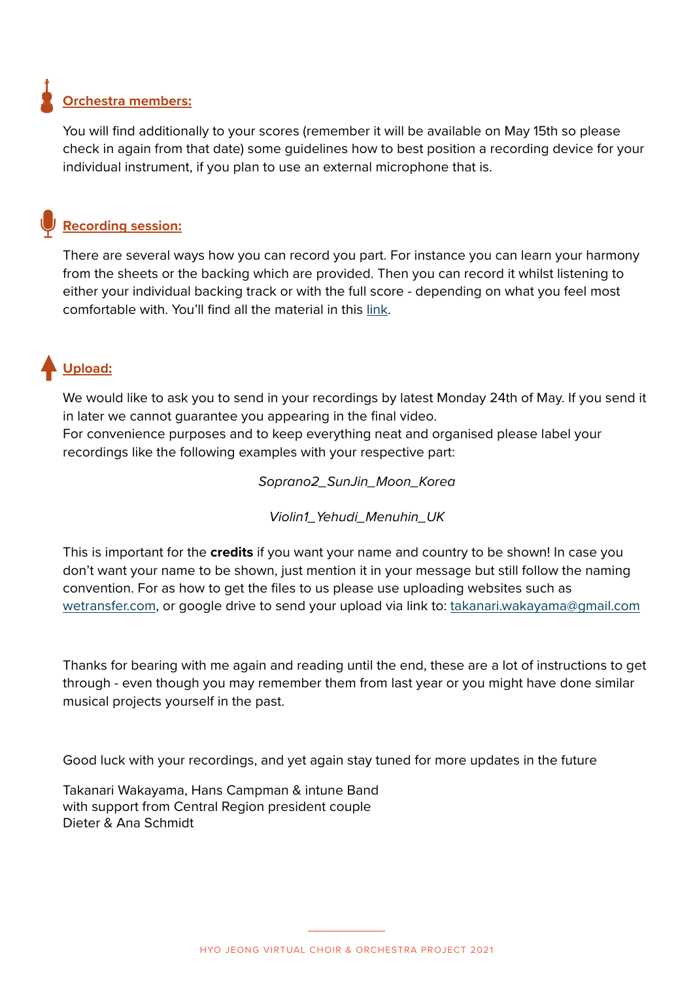# **Orchestra members:**

You will find additionally to your scores (remember it will be available on May 15th so please check in again from that date) some guidelines how to best position a recording device for your individual instrument, if you plan to use an external microphone that is.

### **Recording session:**

There are several ways how you can record you part. For instance you can learn your harmony from the sheets or the backing which are provided. Then you can record it whilst listening to either your individual backing track or with the full score - depending on what you feel most comfortable with. You'll find all the material in this link.

## **Upload:**

We would like to ask you to send in your recordings by latest Monday 24th of May. If you send it in later we cannot guarantee you appearing in the final video.

For convenience purposes and to keep everything neat and organised please label your recordings like the following examples with your respective part:

*Soprano2\_SunJin\_Moon\_Korea* 

*Violin1\_Yehudi\_Menuhin\_UK*

This is important for the **credits** if you want your name and country to be shown! In case you don't want your name to be shown, just mention it in your message but still follow the naming convention. For as how to get the files to us please use uploading websites such as wetransfer.com, or google drive to send your upload via link to: takanari.wakayama@gmail.com

Thanks for bearing with me again and reading until the end, these are a lot of instructions to get through - even though you may remember them from last year or you might have done similar musical projects yourself in the past.

Good luck with your recordings, and yet again stay tuned for more updates in the future

Takanari Wakayama, Hans Campman & intune Band with support from Central Region president couple Dieter & Ana Schmidt